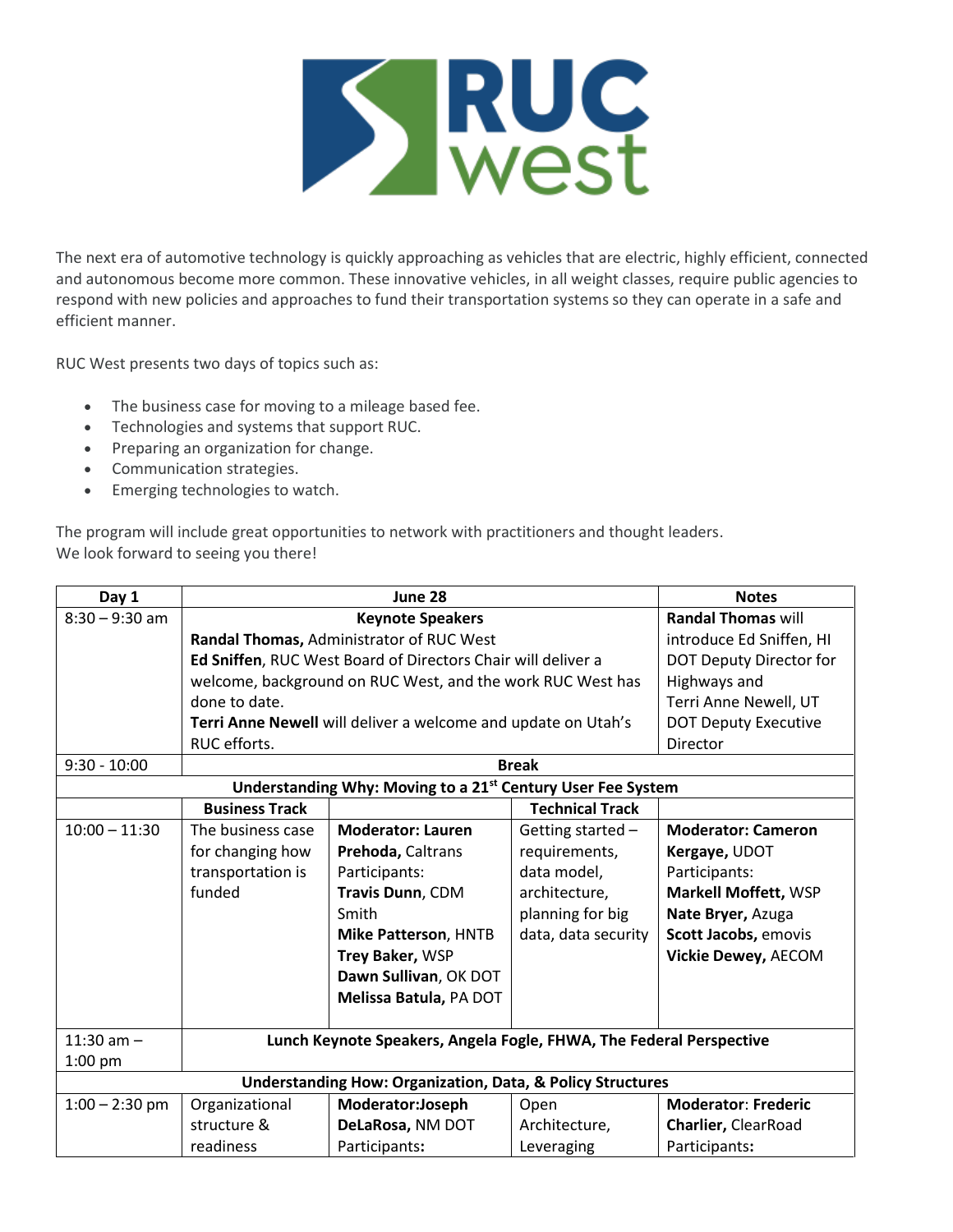

The next era of automotive technology is quickly approaching as vehicles that are electric, highly efficient, connected and autonomous become more common. These innovative vehicles, in all weight classes, require public agencies to respond with new policies and approaches to fund their transportation systems so they can operate in a safe and efficient manner.

RUC West presents two days of topics such as:

- The business case for moving to a mileage based fee.
- Technologies and systems that support RUC.
- Preparing an organization for change.
- Communication strategies.
- Emerging technologies to watch.

The program will include great opportunities to network with practitioners and thought leaders. We look forward to seeing you there!

| Day 1                                                                   | June 28                                                             |                                                              |                        | <b>Notes</b>                |  |  |
|-------------------------------------------------------------------------|---------------------------------------------------------------------|--------------------------------------------------------------|------------------------|-----------------------------|--|--|
| $8:30 - 9:30$ am                                                        | <b>Keynote Speakers</b>                                             |                                                              |                        | <b>Randal Thomas will</b>   |  |  |
|                                                                         |                                                                     | Randal Thomas, Administrator of RUC West                     |                        | introduce Ed Sniffen, HI    |  |  |
|                                                                         |                                                                     | Ed Sniffen, RUC West Board of Directors Chair will deliver a |                        | DOT Deputy Director for     |  |  |
|                                                                         |                                                                     | welcome, background on RUC West, and the work RUC West has   |                        |                             |  |  |
|                                                                         | done to date.                                                       |                                                              |                        | Terri Anne Newell, UT       |  |  |
|                                                                         | Terri Anne Newell will deliver a welcome and update on Utah's       |                                                              |                        | <b>DOT Deputy Executive</b> |  |  |
|                                                                         | RUC efforts.                                                        |                                                              |                        | Director                    |  |  |
| $9:30 - 10:00$                                                          |                                                                     | <b>Break</b>                                                 |                        |                             |  |  |
| Understanding Why: Moving to a 21 <sup>st</sup> Century User Fee System |                                                                     |                                                              |                        |                             |  |  |
|                                                                         | <b>Business Track</b>                                               |                                                              | <b>Technical Track</b> |                             |  |  |
| $10:00 - 11:30$                                                         | The business case                                                   | <b>Moderator: Lauren</b>                                     | Getting started -      | <b>Moderator: Cameron</b>   |  |  |
|                                                                         | for changing how                                                    | Prehoda, Caltrans                                            | requirements,          | Kergaye, UDOT               |  |  |
|                                                                         | transportation is                                                   | Participants:                                                | data model,            | Participants:               |  |  |
|                                                                         | funded                                                              | Travis Dunn, CDM                                             | architecture,          | <b>Markell Moffett, WSP</b> |  |  |
|                                                                         |                                                                     | Smith                                                        | planning for big       | Nate Bryer, Azuga           |  |  |
|                                                                         |                                                                     | <b>Mike Patterson, HNTB</b>                                  | data, data security    | Scott Jacobs, emovis        |  |  |
|                                                                         |                                                                     | Trey Baker, WSP                                              |                        | <b>Vickie Dewey, AECOM</b>  |  |  |
|                                                                         |                                                                     | Dawn Sullivan, OK DOT                                        |                        |                             |  |  |
|                                                                         |                                                                     | Melissa Batula, PA DOT                                       |                        |                             |  |  |
|                                                                         |                                                                     |                                                              |                        |                             |  |  |
| 11:30 am $-$                                                            | Lunch Keynote Speakers, Angela Fogle, FHWA, The Federal Perspective |                                                              |                        |                             |  |  |
| $1:00$ pm                                                               |                                                                     |                                                              |                        |                             |  |  |
| <b>Understanding How: Organization, Data, &amp; Policy Structures</b>   |                                                                     |                                                              |                        |                             |  |  |
| $1:00 - 2:30$ pm                                                        | Organizational                                                      | Moderator:Joseph                                             | Open                   | <b>Moderator: Frederic</b>  |  |  |
|                                                                         | structure &                                                         | DeLaRosa, NM DOT                                             | Architecture,          | Charlier, ClearRoad         |  |  |
|                                                                         | readiness                                                           | Participants:                                                | Leveraging             | Participants:               |  |  |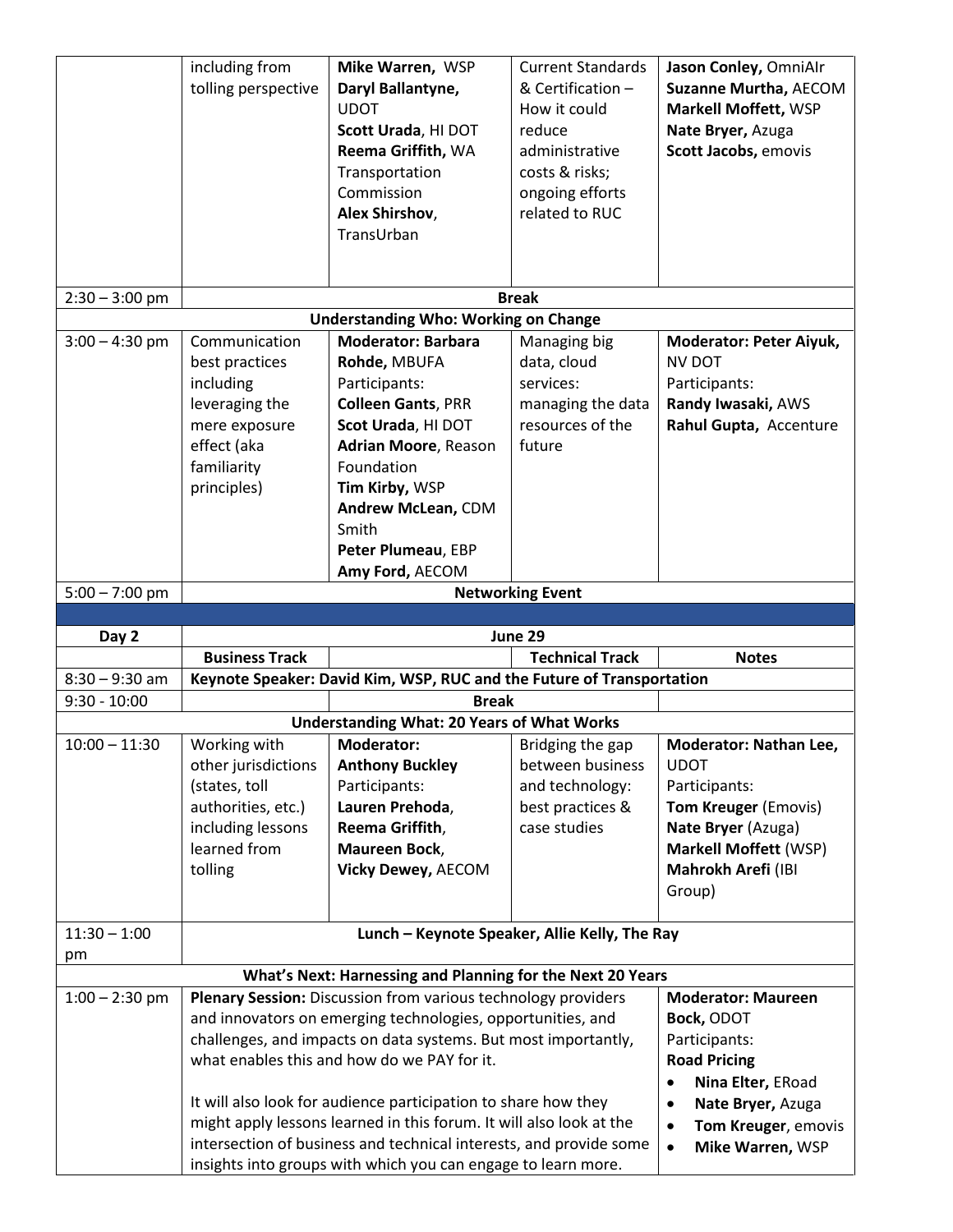|                  | including from<br>tolling perspective                                                                                        | Mike Warren, WSP<br>Daryl Ballantyne,<br><b>UDOT</b><br>Scott Urada, HI DOT<br>Reema Griffith, WA<br>Transportation<br>Commission<br>Alex Shirshov,<br>TransUrban                                                                             | <b>Current Standards</b><br>& Certification -<br>How it could<br>reduce<br>administrative<br>costs & risks;<br>ongoing efforts<br>related to RUC | Jason Conley, OmniAlr<br><b>Suzanne Murtha, AECOM</b><br>Markell Moffett, WSP<br>Nate Bryer, Azuga<br>Scott Jacobs, emovis                 |
|------------------|------------------------------------------------------------------------------------------------------------------------------|-----------------------------------------------------------------------------------------------------------------------------------------------------------------------------------------------------------------------------------------------|--------------------------------------------------------------------------------------------------------------------------------------------------|--------------------------------------------------------------------------------------------------------------------------------------------|
|                  |                                                                                                                              |                                                                                                                                                                                                                                               |                                                                                                                                                  |                                                                                                                                            |
| $2:30 - 3:00$ pm |                                                                                                                              |                                                                                                                                                                                                                                               | <b>Break</b>                                                                                                                                     |                                                                                                                                            |
|                  |                                                                                                                              | <b>Understanding Who: Working on Change</b>                                                                                                                                                                                                   |                                                                                                                                                  |                                                                                                                                            |
| $3:00 - 4:30$ pm | Communication<br>best practices<br>including<br>leveraging the<br>mere exposure<br>effect (aka<br>familiarity<br>principles) | <b>Moderator: Barbara</b><br>Rohde, MBUFA<br>Participants:<br><b>Colleen Gants, PRR</b><br>Scot Urada, HI DOT<br><b>Adrian Moore, Reason</b><br>Foundation<br>Tim Kirby, WSP<br>Andrew McLean, CDM<br>Smith                                   | Managing big<br>data, cloud<br>services:<br>managing the data<br>resources of the<br>future                                                      | <b>Moderator: Peter Aiyuk,</b><br><b>NV DOT</b><br>Participants:<br>Randy Iwasaki, AWS<br>Rahul Gupta, Accenture                           |
|                  |                                                                                                                              | Peter Plumeau, EBP                                                                                                                                                                                                                            |                                                                                                                                                  |                                                                                                                                            |
|                  |                                                                                                                              | Amy Ford, AECOM                                                                                                                                                                                                                               |                                                                                                                                                  |                                                                                                                                            |
| $5:00 - 7:00$ pm |                                                                                                                              |                                                                                                                                                                                                                                               | <b>Networking Event</b>                                                                                                                          |                                                                                                                                            |
|                  |                                                                                                                              |                                                                                                                                                                                                                                               |                                                                                                                                                  |                                                                                                                                            |
| Day 2            |                                                                                                                              |                                                                                                                                                                                                                                               | June 29                                                                                                                                          |                                                                                                                                            |
|                  | <b>Business Track</b>                                                                                                        |                                                                                                                                                                                                                                               | <b>Technical Track</b>                                                                                                                           | <b>Notes</b>                                                                                                                               |
| $8:30 - 9:30$ am |                                                                                                                              | Keynote Speaker: David Kim, WSP, RUC and the Future of Transportation                                                                                                                                                                         |                                                                                                                                                  |                                                                                                                                            |
| $9:30 - 10:00$   |                                                                                                                              | <b>Break</b>                                                                                                                                                                                                                                  |                                                                                                                                                  |                                                                                                                                            |
| $10:00 - 11:30$  |                                                                                                                              | <b>Understanding What: 20 Years of What Works</b><br><b>Moderator:</b>                                                                                                                                                                        |                                                                                                                                                  | <b>Moderator: Nathan Lee,</b>                                                                                                              |
|                  | Working with<br>other jurisdictions<br>(states, toll<br>authorities, etc.)<br>including lessons<br>learned from<br>tolling   | <b>Anthony Buckley</b><br>Participants:<br>Lauren Prehoda,<br>Reema Griffith,<br>Maureen Bock,<br><b>Vicky Dewey, AECOM</b>                                                                                                                   | Bridging the gap<br>between business<br>and technology:<br>best practices &<br>case studies                                                      | <b>UDOT</b><br>Participants:<br>Tom Kreuger (Emovis)<br>Nate Bryer (Azuga)<br><b>Markell Moffett (WSP)</b><br>Mahrokh Arefi (IBI<br>Group) |
| $11:30 - 1:00$   |                                                                                                                              | Lunch - Keynote Speaker, Allie Kelly, The Ray                                                                                                                                                                                                 |                                                                                                                                                  |                                                                                                                                            |
| pm               |                                                                                                                              |                                                                                                                                                                                                                                               |                                                                                                                                                  |                                                                                                                                            |
|                  |                                                                                                                              | What's Next: Harnessing and Planning for the Next 20 Years                                                                                                                                                                                    |                                                                                                                                                  |                                                                                                                                            |
| $1:00 - 2:30$ pm |                                                                                                                              | Plenary Session: Discussion from various technology providers<br>and innovators on emerging technologies, opportunities, and<br>challenges, and impacts on data systems. But most importantly,<br>what enables this and how do we PAY for it. |                                                                                                                                                  | <b>Moderator: Maureen</b><br>Bock, ODOT<br>Participants:<br><b>Road Pricing</b><br>Nina Elter, ERoad                                       |